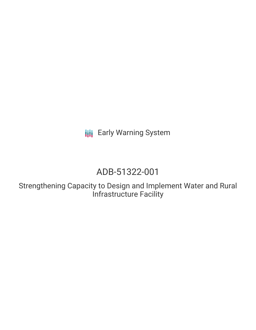**III** Early Warning System

# ADB-51322-001

Strengthening Capacity to Design and Implement Water and Rural Infrastructure Facility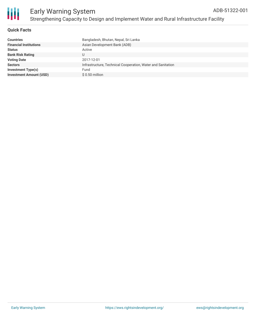

### **Quick Facts**

| <b>Countries</b>               | Bangladesh, Bhutan, Nepal, Sri Lanka                        |
|--------------------------------|-------------------------------------------------------------|
| <b>Financial Institutions</b>  | Asian Development Bank (ADB)                                |
| <b>Status</b>                  | Active                                                      |
| <b>Bank Risk Rating</b>        | U                                                           |
| <b>Voting Date</b>             | 2017-12-01                                                  |
| <b>Sectors</b>                 | Infrastructure, Technical Cooperation, Water and Sanitation |
| <b>Investment Type(s)</b>      | Fund                                                        |
| <b>Investment Amount (USD)</b> | $$0.50$ million                                             |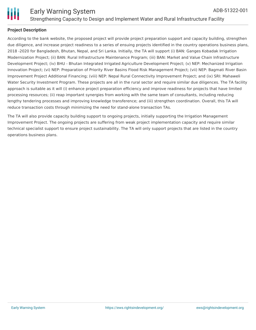

### **Project Description**

According to the bank website, the proposed project will provide project preparation support and capacity building, strengthen due diligence, and increase project readiness to a series of ensuing projects identified in the country operations business plans, 2018 -2020 for Bangladesh, Bhutan, Nepal, and Sri Lanka. Initially, the TA will support (i) BAN: Ganges Kobadak Irrigation Modernization Project; (ii) BAN: Rural Infrastructure Maintenance Program; (iii) BAN: Market and Value Chain Infrastructure Development Project; (iv) BHU - Bhutan Integrated Irrigated Agriculture Development Project; (v) NEP: Mechanized Irrigation Innovation Project; (vi) NEP: Preparation of Priority River Basins Flood Risk Management Project; (vii) NEP: Bagmati River Basin Improvement Project Additional Financing; (viii) NEP: Nepal Rural Connectivity Improvement Project; and (ix) SRI: Mahaweli Water Security Investment Program. These projects are all in the rural sector and require similar due diligences. The TA facility approach is suitable as it will (i) enhance project preparation efficiency and improve readiness for projects that have limited processing resources; (ii) reap important synergies from working with the same team of consultants, including reducing lengthy tendering processes and improving knowledge transference; and (iii) strengthen coordination. Overall, this TA will reduce transaction costs through minimizing the need for stand-alone transaction TAs.

The TA will also provide capacity building support to ongoing projects, initially supporting the Irrigation Management Improvement Project. The ongoing projects are suffering from weak project implementation capacity and require similar technical specialist support to ensure project sustainability. The TA will only support projects that are listed in the country operations business plans.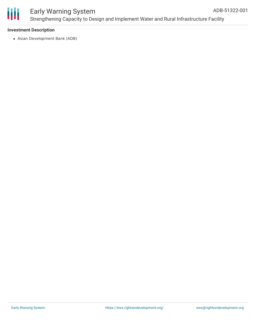

### Early Warning System Strengthening Capacity to Design and Implement Water and Rural Infrastructure Facility ADB-51322-001

### **Investment Description**

Asian Development Bank (ADB)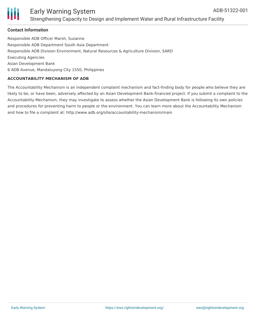

### Early Warning System Strengthening Capacity to Design and Implement Water and Rural Infrastructure Facility

### **Contact Information**

Responsible ADB Officer Marsh, Suzanne Responsible ADB Department South Asia Department Responsible ADB Division Environment, Natural Resources & Agriculture Division, SARD Executing Agencies Asian Development Bank 6 ADB Avenue, Mandaluyong City 1550, Philippines

#### **ACCOUNTABILITY MECHANISM OF ADB**

The Accountability Mechanism is an independent complaint mechanism and fact-finding body for people who believe they are likely to be, or have been, adversely affected by an Asian Development Bank-financed project. If you submit a complaint to the Accountability Mechanism, they may investigate to assess whether the Asian Development Bank is following its own policies and procedures for preventing harm to people or the environment. You can learn more about the Accountability Mechanism and how to file a complaint at: http://www.adb.org/site/accountability-mechanism/main